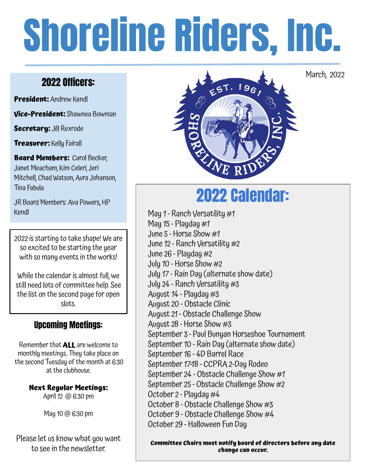# Shoreline Riders, Inc.

# 2022 Officers:

**President:** Andrew Kendl

**Vice-President:** Shawnea Bowman

**Secretary:** Jill Rexrode

**Treasurer:** Kelly Fairall

**Board Members: Carol Becker,** Janet Meacham, Kim Celeri, Jeri Mitchell, Chad Watson, Aura Johanson, Tina Fabula

JR Board Members: Ava Powers, HP Kendl

2022 is starting to take shape! We are so excited to be starting the year with so many events in the works!

While the calendar is almost full, we still need lots of committee help. See the list on the second page for open slots.

# Upcoming Meetings:

Remember that **ALL** are welcome to monthly meetings. They take place on the second Tuesday of the month at 6:30 at the clubhouse.

> **Next Regular Meetings:**  April 12 @ 6:30 pm

> > May 10 @ 6:30 pm

Please let us know what you want to see in the newsletter.



March, 2022

# 2022 Calendar:

May 1 - Ranch Versatility #1 May  $15$  - Playday  $#1$ June 5 - Horse Show #1 June 12 - Ranch Versatility #2 June 26 - Playday #2 July 10 - Horse Show #2 July 17 - Rain Day (alternate show date) July 24 - Ranch Versatility #3 August 14 - Playday #3 August 20 - Obstacle Clinic August 21 - Obstacle Challenge Show August 28 - Horse Show #3 September 3 - Paul Bunyan Horseshoe Tournament September 10 - Rain Day (alternate show date) September 16 - 4D Barrel Race September 17-18 - CCPRA 2-Day Rodeo September 24 - Obstacle Challenge Show #1 September 25 - Obstacle Challenge Show #2 October 2 - Playday #4 October 8 - Obstacle Challenge Show #3 October 9 - Obstacle Challenge Show #4 October 29 - Halloween Fun Day

**Committee Chairs must notify board of directors before any date change can occur.**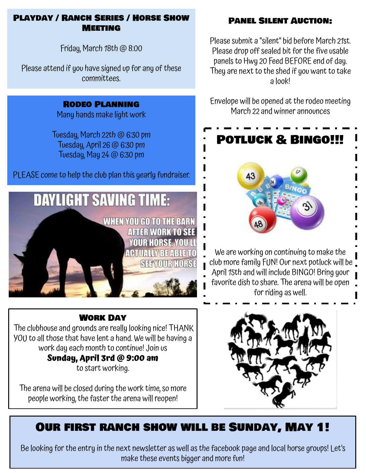## PLAYDAY / RANCH SERIES / HORSE SHOW **MEETING**

Friday, March 18th @ 8:00

Please attend if you have signed up for any of these committees.

## Rodeo Planning

Many hands make light work

Tuesday, March 22th @ 6:30 pm Tuesday, April 26 @ 6:30 pm Tuesday, May 24 @ 6:30 pm

PLEASE come to help the club plan this yearly fundraiser.



## Work Day

The clubhouse and grounds are really looking nice! THANK YOU to all those that have lent a hand. We will be having a work day each month to continue! Join us **Sunday, April 3rd @ 9:00 am**  to start working.

The arena will be closed during the work time, so more people working, the faster the arena will reopen!

# Panel Silent Auction:

Please submit a "silent" bid before March 21st. Please drop off sealed bit for the five usable panels to Hwy 20 Feed BEFORE end of day. They are next to the shed if you want to take a look!

Envelope will be opened at the rodeo meeting March 22 and winner announces



We are working on continuing to make the club more family FUN! Our next potluck will be April 15th and will include BINGO! Bring your favorite dish to share. The arena will be open for riding as well.



# Our first ranch show will be Sunday, May 1!

Be looking for the entry in the next newsletter as well as the facebook page and local horse groups! Let's make these events bigger and more fun!